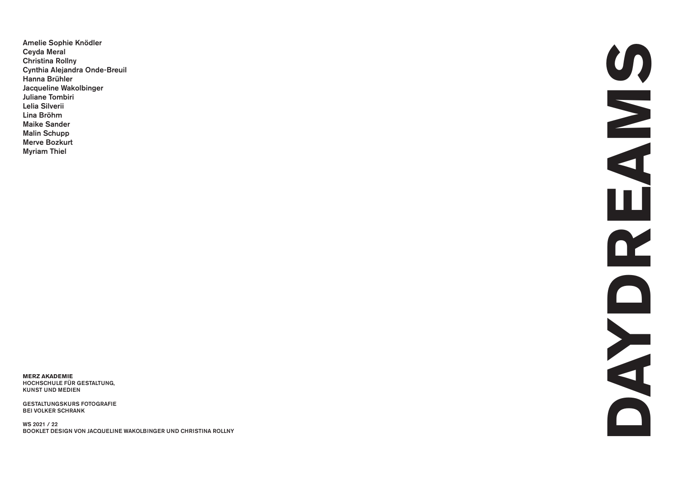**Amelie Sophie Knödler Ceyda Meral Christina Rollny Cynthia Alejandra Onde-Breuil Hanna Brühler Jacqueline Wakolbinger Juliane TombiriLelia SilveriiLina BröhmMaike Sander Malin Schupp Merve BozkurtMyriam Thiel**

**MERZ AKADEMIE HOCHSCHULE FÜR GESTALTUNG, KUNST UND MEDIEN**

**GESTALTUNGSKURS FOTOGRAFIE BEI VOLKER SCHRANK** 

**WS 2021 / 22 BOOKLET DESIGN VON JACQUELINE WAKOLBINGER UND CHRISTINA ROLLNY**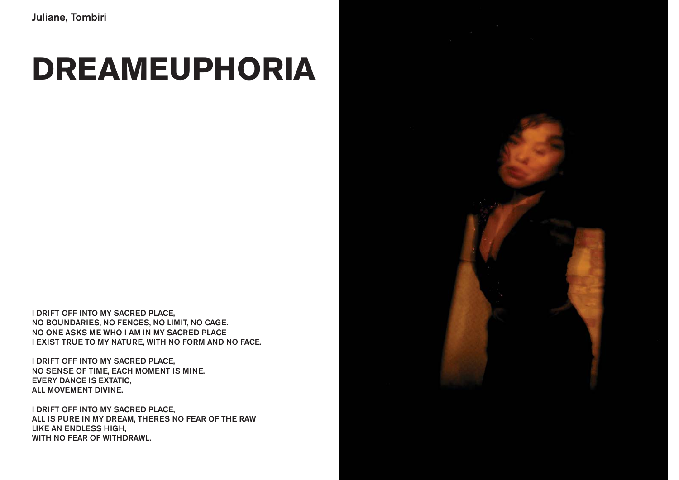#### **DREAMEUPHORIA**

**I DRIFT OFF INTO MY SACRED PLACE, NO BOUNDARIES, NO FENCES, NO LIMIT, NO CAGE. NO ONE ASKS ME WHO I AM IN MY SACRED PLACE I EXIST TRUE TO MY NATURE, WITH NO FORM AND NO FACE.**

**I DRIFT OFF INTO MY SACRED PLACE, NO SENSE OF TIME, EACH MOMENT IS MINE. EVERY DANCE IS EXTATIC, ALL MOVEMENT DIVINE.**

**I DRIFT OFF INTO MY SACRED PLACE, ALL IS PURE IN MY DREAM, THERES NO FEAR OF THE RAW LIKE AN ENDLESS HIGH, WITH NO FEAR OF WITHDRAWL.**

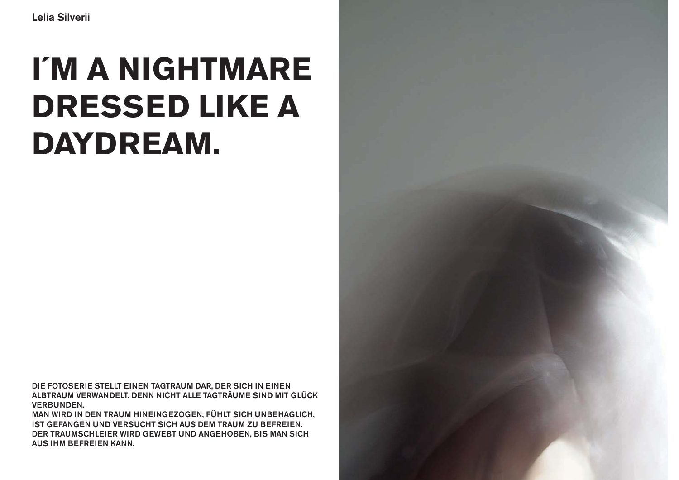## I'M A NIGHTMARE **DRESSED LIKE A DAYDREAM.**

DIE FOTOSERIE STELLT EINEN TAGTRAUM DAR, DER SICH IN EINEN ALBTRAUM VERWANDELT. DENN NICHT ALLE TAGTRÄUME SIND MIT GLÜCK **VERBUNDEN.** 

MAN WIRD IN DEN TRAUM HINEINGEZOGEN, FÜHLT SICH UNBEHAGLICH, IST GEFANGEN UND VERSUCHT SICH AUS DEM TRAUM ZU BEFREIEN. DER TRAUMSCHLEIER WIRD GEWEBT UND ANGEHOBEN, BIS MAN SICH **AUS IHM BEFREIEN KANN.** 

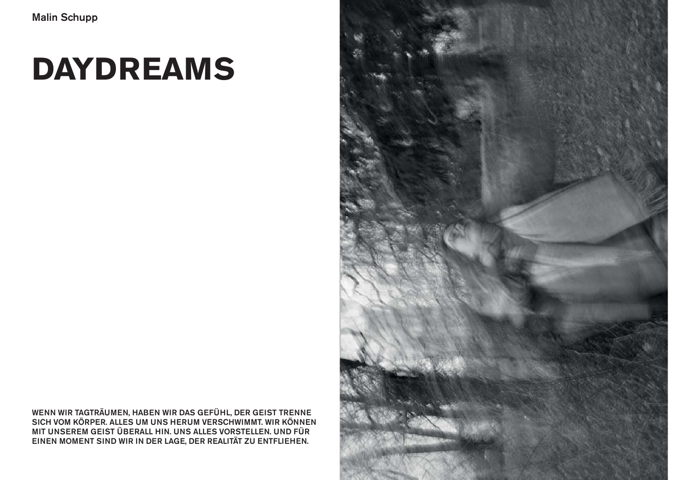WENN WIR TAGTRÄUMEN, HABEN WIR DAS GEFÜHL, DER GEIST TRENNE<br>SICH VOM KÖRPER. ALLES UM UNS HERUM VERSCHWIMMT. WIR KÖNNEN MIT UNSEREM GEIST ÜBERALL HIN. UNS ALLES VORSTELLEN. UND FÜR EINEN MOMENT SIND WIR IN DER LAGE, DER REALITÄT ZU ENTFLIEHEN.

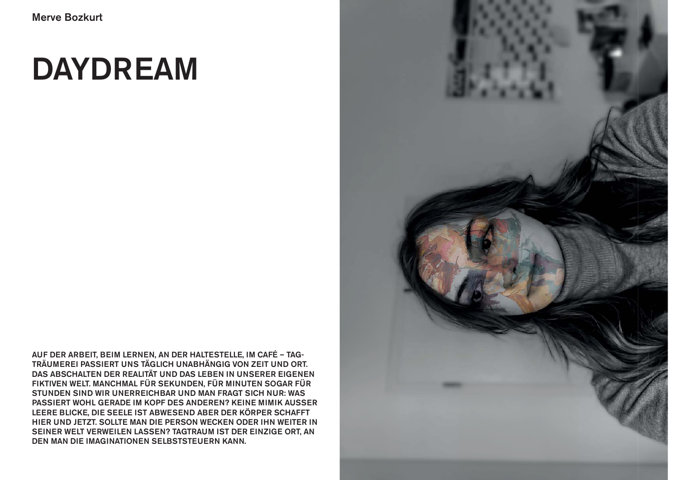**AUF DER ARBEIT, BEIM LERNEN, AN DER HALTESTELLE, IM CAFÉ – TAG-TRÄUMEREI PASSIERT UNS TÄGLICH UNABHÄNGIG VON ZEIT UND ORT. DAS ABSCHALTEN DER REALITÄT UND DAS LEBEN IN UNSERER EIGENEN FIKTIVEN WELT. MANCHMAL FÜR SEKUNDEN, FÜR MINUTEN SOGAR FÜR STUNDEN SIND WIR UNERREICHBAR UND MAN FRAGT SICH NUR: WAS PASSIERT WOHL GERADE IM KOPF DES ANDEREN? KEINE MIMIK AUSSER LEERE BLICKE, DIE SEELE IST ABWESEND ABER DER KÖRPER SCHAFFT HIER UND JETZT. SOLLTE MAN DIE PERSON WECKEN ODER IHN WEITER IN SEINER WELT VERWEILEN LASSEN? TAGTRAUM IST DER EINZIGE ORT, AN DEN MAN DIE IMAGINATIONEN SELBSTSTEUERN KANN.** 

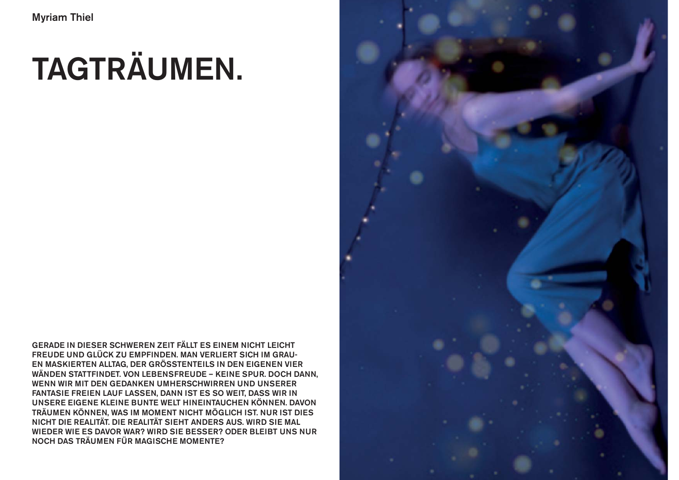# **TAGTRÄUMEN.**

**GERADE IN DIESER SCHWEREN ZEIT FÄLLT ES EINEM NICHT LEICHT FREUDE UND GLÜCK ZU EMPFINDEN. MAN VERLIERT SICH IM GRAU-EN MASKIERTEN ALLTAG, DER GRÖSSTENTEILS IN DEN EIGENEN VIER WÄNDEN STATTFINDET. VON LEBENSFREUDE – KEINE SPUR. DOCH DANN, WENN WIR MIT DEN GEDANKEN UMHERSCHWIRREN UND UNSERER FANTASIE FREIEN LAUF LASSEN, DANN IST ES SO WEIT, DASS WIR IN UNSERE EIGENE KLEINE BUNTE WELT HINEINTAUCHEN KÖNNEN. DAVON TRÄUMEN KÖNNEN, WAS IM MOMENT NICHT MÖGLICH IST. NUR IST DIES NICHT DIE REALITÄT. DIE REALITÄT SIEHT ANDERS AUS. WIRD SIE MAL WIEDER WIE ES DAVOR WAR? WIRD SIE BESSER? ODER BLEIBT UNS NUR NOCH DAS TRÄUMEN FÜR MAGISCHE MOMENTE?**

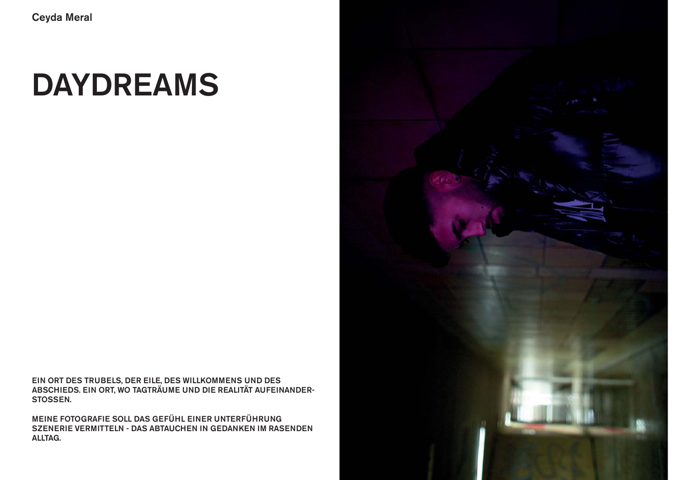EIN ORT DES TRUBELS, DER EILE, DES WILLKOMMENS UND DES<br>ABSCHIEDS. EIN ORT, WO TAGTRÄUME UND DIE REALITÄT AUFEINANDER-STOSSEN.

MEINE FOTOGRAFIE SOLL DAS GEFÜHL EINER UNTERFÜHRUNG SZENERIE VERMITTELN - DAS ABTAUCHEN IN GEDANKEN IM RASENDEN ALLTAG.

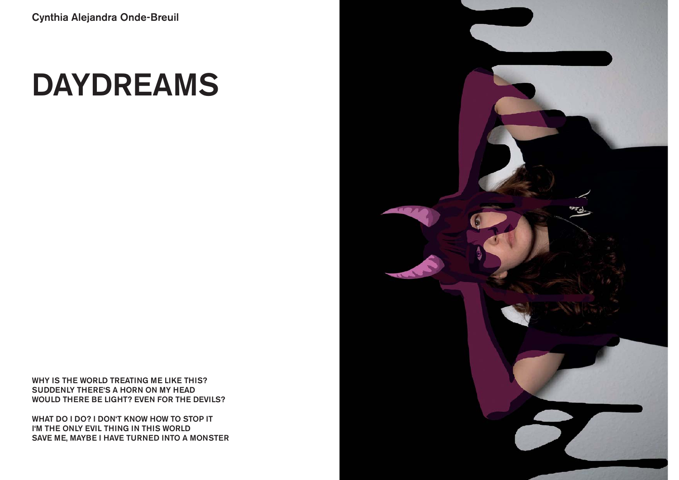**WHY IS THE WORLD TREATING ME LIKE THIS? SUDDENLY THERE'S A HORN ON MY HEAD WOULD THERE BE LIGHT? EVEN FOR THE DEVILS?**

**WHAT DO I DO? I DON'T KNOW HOW TO STOP IT I'M THE ONLY EVIL THING IN THIS WORLD SAVE ME, MAYBE I HAVE TURNED INTO A MONSTER**

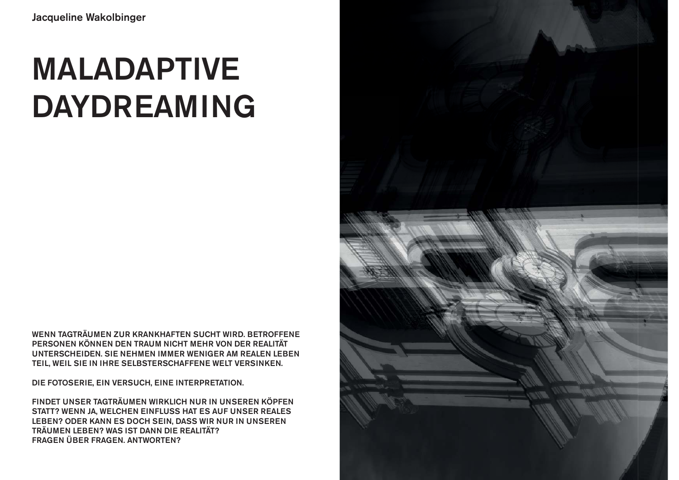## **MALADAPTIVE DAYDREAMING**

**WENN TAGTRÄUMEN ZUR KRANKHAFTEN SUCHT WIRD. BETROFFENE PERSONEN KÖNNEN DEN TRAUM NICHT MEHR VON DER REALITÄT UNTERSCHEIDEN. SIE NEHMEN IMMER WENIGER AM REALEN LEBEN TEIL, WEIL SIE IN IHRE SELBSTERSCHAFFENE WELT VERSINKEN.** 

**DIE FOTOSERIE, EIN VERSUCH, EINE INTERPRETATION.** 

**FINDET UNSER TAGTRÄUMEN WIRKLICH NUR IN UNSEREN KÖPFEN STATT? WENN JA, WELCHEN EINFLUSS HAT ES AUF UNSER REALES LEBEN? ODER KANN ES DOCH SEIN, DASS WIR NUR IN UNSEREN TRÄUMEN LEBEN? WAS IST DANN DIE REALITÄT? FRAGEN ÜBER FRAGEN. ANTWORTEN?**

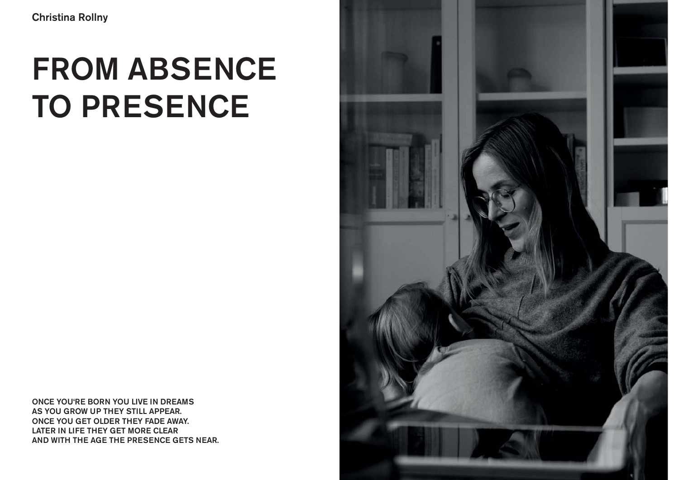## **FROM ABSENCE TO PRESENCE**

**ONCE YOU'RE BORN YOU LIVE IN DREAMS AS YOU GROW UP THEY STILL APPEAR. ONCE YOU GET OLDER THEY FADE AWAY. LATER IN LIFE THEY GET MORE CLEAR AND WITH THE AGE THE PRESENCE GETS NEAR.** 

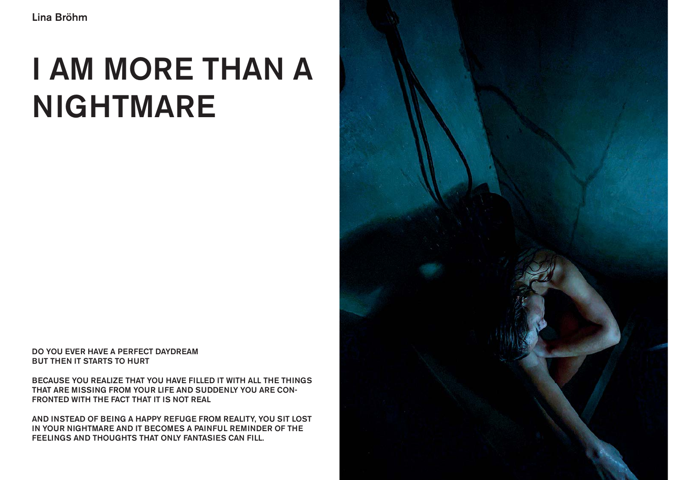## **I AM MORE THAN A NIGHTMARE**

**DO YOU EVER HAVE A PERFECT DAYDREAMBUT THEN IT STARTS TO HURT**

**BECAUSE YOU REALIZE THAT YOU HAVE FILLED IT WITH ALL THE THINGS THAT ARE MISSING FROM YOUR LIFE AND SUDDENLY YOU ARE CON-FRONTED WITH THE FACT THAT IT IS NOT REAL**

**AND INSTEAD OF BEING A HAPPY REFUGE FROM REALITY, YOU SIT LOST IN YOUR NIGHTMARE AND IT BECOMES A PAINFUL REMINDER OF THE FEELINGS AND THOUGHTS THAT ONLY FANTASIES CAN FILL.**

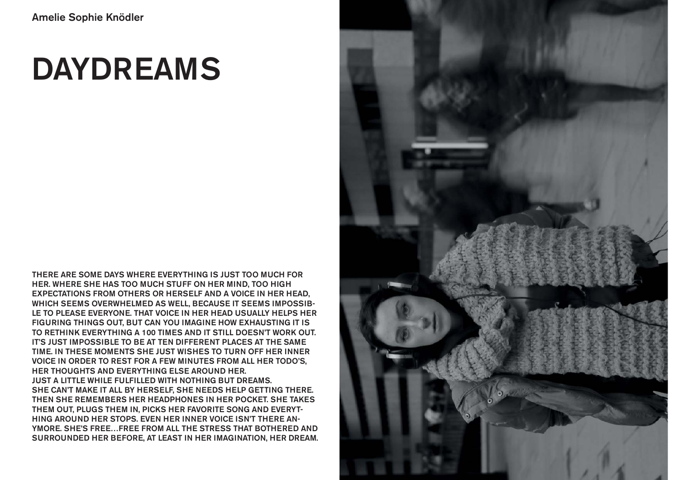**THERE ARE SOME DAYS WHERE EVERYTHING IS JUST TOO MUCH FOR HER. WHERE SHE HAS TOO MUCH STUFF ON HER MIND, TOO HIGH EXPECTATIONS FROM OTHERS OR HERSELF AND A VOICE IN HER HEAD, WHICH SEEMS OVERWHELMED AS WELL, BECAUSE IT SEEMS IMPOSSIB-LE TO PLEASE EVERYONE. THAT VOICE IN HER HEAD USUALLY HELPS HER FIGURING THINGS OUT, BUT CAN YOU IMAGINE HOW EXHAUSTING IT IS TO RETHINK EVERYTHING A 100 TIMES AND IT STILL DOESN'T WORK OUT. IT'S JUST IMPOSSIBLE TO BE AT TEN DIFFERENT PLACES AT THE SAME TIME. IN THESE MOMENTS SHE JUST WISHES TO TURN OFF HER INNER VOICE IN ORDER TO REST FOR A FEW MINUTES FROM ALL HER TODO'S, HER THOUGHTS AND EVERYTHING ELSE AROUND HER. JUST A LITTLE WHILE FULFILLED WITH NOTHING BUT DREAMS. SHE CAN'T MAKE IT ALL BY HERSELF, SHE NEEDS HELP GETTING THERE. THEN SHE REMEMBERS HER HEADPHONES IN HER POCKET. SHE TAKES THEM OUT, PLUGS THEM IN, PICKS HER FAVORITE SONG AND EVERYT-HING AROUND HER STOPS. EVEN HER INNER VOICE ISN'T THERE AN-YMORE. SHE'S FREE…FREE FROM ALL THE STRESS THAT BOTHERED AND SURROUNDED HER BEFORE, AT LEAST IN HER IMAGINATION, HER DREAM.**